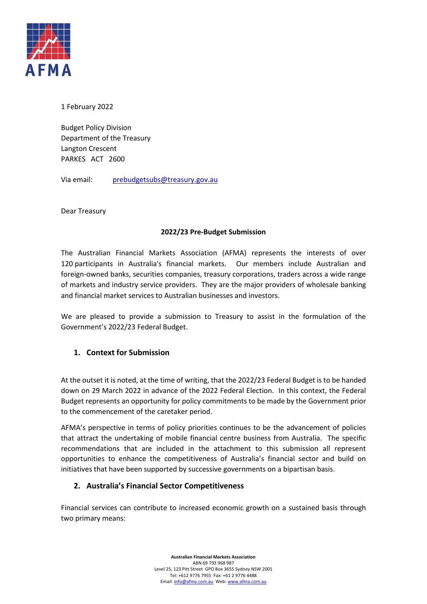

1 February 2022

Budget Policy Division Department of the Treasury Langton Crescent PARKES ACT 2600

Via email: [prebudgetsubs@treasury.gov.au](mailto:prebudgetsubs@treasury.gov.au)

Dear Treasury

## **2022/23 Pre-Budget Submission**

The Australian Financial Markets Association (AFMA) represents the interests of over 120 participants in Australia's financial markets. Our members include Australian and foreign-owned banks, securities companies, treasury corporations, traders across a wide range of markets and industry service providers. They are the major providers of wholesale banking and financial market services to Australian businesses and investors.

We are pleased to provide a submission to Treasury to assist in the formulation of the Government's 2022/23 Federal Budget.

# **1. Context for Submission**

At the outset it is noted, at the time of writing, that the 2022/23 Federal Budget is to be handed down on 29 March 2022 in advance of the 2022 Federal Election. In this context, the Federal Budget represents an opportunity for policy commitments to be made by the Government prior to the commencement of the caretaker period.

AFMA's perspective in terms of policy priorities continues to be the advancement of policies that attract the undertaking of mobile financial centre business from Australia. The specific recommendations that are included in the attachment to this submission all represent opportunities to enhance the competitiveness of Australia's financial sector and build on initiatives that have been supported by successive governments on a bipartisan basis.

## **2. Australia's Financial Sector Competitiveness**

Financial services can contribute to increased economic growth on a sustained basis through two primary means: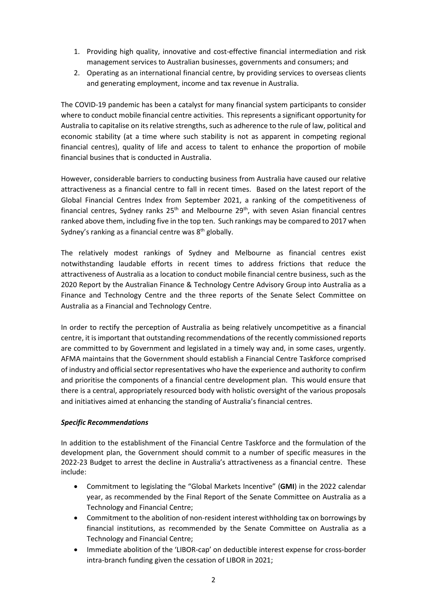- 1. Providing high quality, innovative and cost-effective financial intermediation and risk management services to Australian businesses, governments and consumers; and
- 2. Operating as an international financial centre, by providing services to overseas clients and generating employment, income and tax revenue in Australia.

The COVID-19 pandemic has been a catalyst for many financial system participants to consider where to conduct mobile financial centre activities. This represents a significant opportunity for Australia to capitalise on its relative strengths, such as adherence to the rule of law, political and economic stability (at a time where such stability is not as apparent in competing regional financial centres), quality of life and access to talent to enhance the proportion of mobile financial busines that is conducted in Australia.

However, considerable barriers to conducting business from Australia have caused our relative attractiveness as a financial centre to fall in recent times. Based on the latest report of the Global Financial Centres Index from September 2021, a ranking of the competitiveness of financial centres, Sydney ranks  $25<sup>th</sup>$  and Melbourne  $29<sup>th</sup>$ , with seven Asian financial centres ranked above them, including five in the top ten. Such rankings may be compared to 2017 when Sydney's ranking as a financial centre was  $8<sup>th</sup>$  globally.

The relatively modest rankings of Sydney and Melbourne as financial centres exist notwithstanding laudable efforts in recent times to address frictions that reduce the attractiveness of Australia as a location to conduct mobile financial centre business, such as the 2020 Report by the Australian Finance & Technology Centre Advisory Group into Australia as a Finance and Technology Centre and the three reports of the Senate Select Committee on Australia as a Financial and Technology Centre.

In order to rectify the perception of Australia as being relatively uncompetitive as a financial centre, it is important that outstanding recommendations of the recently commissioned reports are committed to by Government and legislated in a timely way and, in some cases, urgently. AFMA maintains that the Government should establish a Financial Centre Taskforce comprised of industry and official sector representatives who have the experience and authority to confirm and prioritise the components of a financial centre development plan. This would ensure that there is a central, appropriately resourced body with holistic oversight of the various proposals and initiatives aimed at enhancing the standing of Australia's financial centres.

#### *Specific Recommendations*

In addition to the establishment of the Financial Centre Taskforce and the formulation of the development plan, the Government should commit to a number of specific measures in the 2022-23 Budget to arrest the decline in Australia's attractiveness as a financial centre. These include:

- Commitment to legislating the "Global Markets Incentive" (**GMI**) in the 2022 calendar year, as recommended by the Final Report of the Senate Committee on Australia as a Technology and Financial Centre;
- Commitment to the abolition of non-resident interest withholding tax on borrowings by financial institutions, as recommended by the Senate Committee on Australia as a Technology and Financial Centre;
- Immediate abolition of the 'LIBOR-cap' on deductible interest expense for cross-border intra-branch funding given the cessation of LIBOR in 2021;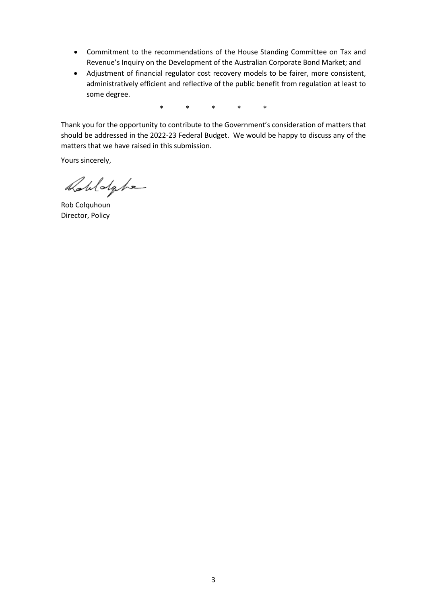- Commitment to the recommendations of the House Standing Committee on Tax and Revenue's Inquiry on the Development of the Australian Corporate Bond Market; and
- Adjustment of financial regulator cost recovery models to be fairer, more consistent, administratively efficient and reflective of the public benefit from regulation at least to some degree.

\* \* \* \* \*

Thank you for the opportunity to contribute to the Government's consideration of matters that should be addressed in the 2022-23 Federal Budget. We would be happy to discuss any of the matters that we have raised in this submission.

Yours sincerely,

Robldghe

Rob Colquhoun Director, Policy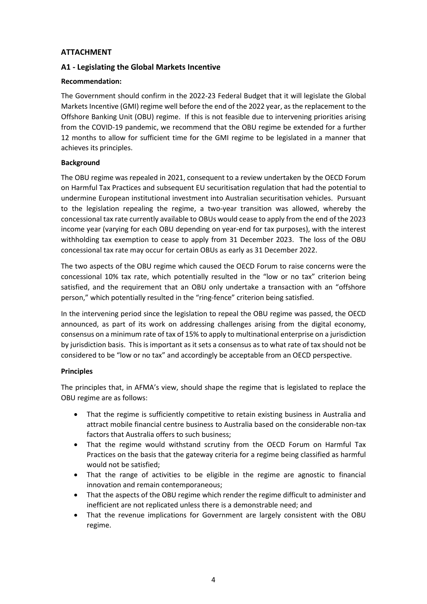## **ATTACHMENT**

## **A1 - Legislating the Global Markets Incentive**

## **Recommendation:**

The Government should confirm in the 2022-23 Federal Budget that it will legislate the Global Markets Incentive (GMI) regime well before the end of the 2022 year, as the replacement to the Offshore Banking Unit (OBU) regime. If this is not feasible due to intervening priorities arising from the COVID-19 pandemic, we recommend that the OBU regime be extended for a further 12 months to allow for sufficient time for the GMI regime to be legislated in a manner that achieves its principles.

## **Background**

The OBU regime was repealed in 2021, consequent to a review undertaken by the OECD Forum on Harmful Tax Practices and subsequent EU securitisation regulation that had the potential to undermine European institutional investment into Australian securitisation vehicles. Pursuant to the legislation repealing the regime, a two-year transition was allowed, whereby the concessional tax rate currently available to OBUs would cease to apply from the end of the 2023 income year (varying for each OBU depending on year-end for tax purposes), with the interest withholding tax exemption to cease to apply from 31 December 2023. The loss of the OBU concessional tax rate may occur for certain OBUs as early as 31 December 2022.

The two aspects of the OBU regime which caused the OECD Forum to raise concerns were the concessional 10% tax rate, which potentially resulted in the "low or no tax" criterion being satisfied, and the requirement that an OBU only undertake a transaction with an "offshore person," which potentially resulted in the "ring-fence" criterion being satisfied.

In the intervening period since the legislation to repeal the OBU regime was passed, the OECD announced, as part of its work on addressing challenges arising from the digital economy, consensus on a minimum rate of tax of 15% to apply to multinational enterprise on a jurisdiction by jurisdiction basis. This is important as it sets a consensus as to what rate of tax should not be considered to be "low or no tax" and accordingly be acceptable from an OECD perspective.

## **Principles**

The principles that, in AFMA's view, should shape the regime that is legislated to replace the OBU regime are as follows:

- That the regime is sufficiently competitive to retain existing business in Australia and attract mobile financial centre business to Australia based on the considerable non-tax factors that Australia offers to such business;
- That the regime would withstand scrutiny from the OECD Forum on Harmful Tax Practices on the basis that the gateway criteria for a regime being classified as harmful would not be satisfied;
- That the range of activities to be eligible in the regime are agnostic to financial innovation and remain contemporaneous;
- That the aspects of the OBU regime which render the regime difficult to administer and inefficient are not replicated unless there is a demonstrable need; and
- That the revenue implications for Government are largely consistent with the OBU regime.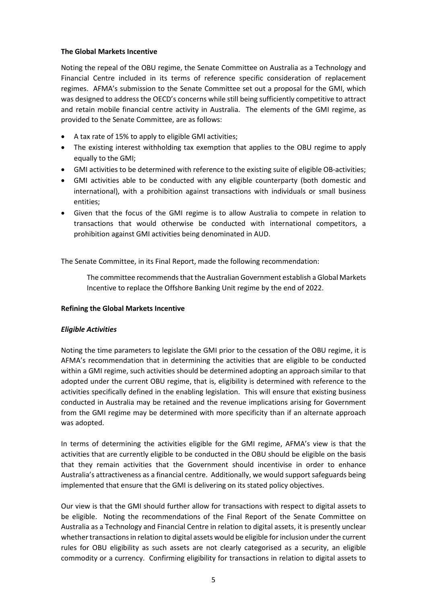#### **The Global Markets Incentive**

Noting the repeal of the OBU regime, the Senate Committee on Australia as a Technology and Financial Centre included in its terms of reference specific consideration of replacement regimes. AFMA's submission to the Senate Committee set out a proposal for the GMI, which was designed to address the OECD's concerns while still being sufficiently competitive to attract and retain mobile financial centre activity in Australia. The elements of the GMI regime, as provided to the Senate Committee, are as follows:

- A tax rate of 15% to apply to eligible GMI activities;
- The existing interest withholding tax exemption that applies to the OBU regime to apply equally to the GMI;
- GMI activities to be determined with reference to the existing suite of eligible OB-activities;
- GMI activities able to be conducted with any eligible counterparty (both domestic and international), with a prohibition against transactions with individuals or small business entities;
- Given that the focus of the GMI regime is to allow Australia to compete in relation to transactions that would otherwise be conducted with international competitors, a prohibition against GMI activities being denominated in AUD.

The Senate Committee, in its Final Report, made the following recommendation:

The committee recommends that the Australian Government establish a Global Markets Incentive to replace the Offshore Banking Unit regime by the end of 2022.

#### **Refining the Global Markets Incentive**

#### *Eligible Activities*

Noting the time parameters to legislate the GMI prior to the cessation of the OBU regime, it is AFMA's recommendation that in determining the activities that are eligible to be conducted within a GMI regime, such activities should be determined adopting an approach similar to that adopted under the current OBU regime, that is, eligibility is determined with reference to the activities specifically defined in the enabling legislation. This will ensure that existing business conducted in Australia may be retained and the revenue implications arising for Government from the GMI regime may be determined with more specificity than if an alternate approach was adopted.

In terms of determining the activities eligible for the GMI regime, AFMA's view is that the activities that are currently eligible to be conducted in the OBU should be eligible on the basis that they remain activities that the Government should incentivise in order to enhance Australia's attractiveness as a financial centre. Additionally, we would support safeguards being implemented that ensure that the GMI is delivering on its stated policy objectives.

Our view is that the GMI should further allow for transactions with respect to digital assets to be eligible. Noting the recommendations of the Final Report of the Senate Committee on Australia as a Technology and Financial Centre in relation to digital assets, it is presently unclear whether transactions in relation to digital assets would be eligible for inclusion under the current rules for OBU eligibility as such assets are not clearly categorised as a security, an eligible commodity or a currency. Confirming eligibility for transactions in relation to digital assets to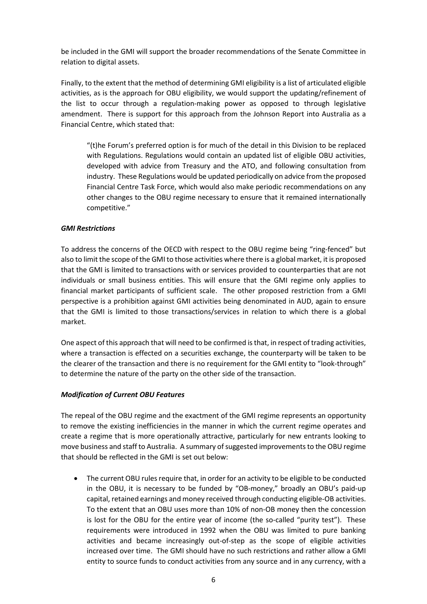be included in the GMI will support the broader recommendations of the Senate Committee in relation to digital assets.

Finally, to the extent that the method of determining GMI eligibility is a list of articulated eligible activities, as is the approach for OBU eligibility, we would support the updating/refinement of the list to occur through a regulation-making power as opposed to through legislative amendment. There is support for this approach from the Johnson Report into Australia as a Financial Centre, which stated that:

"(t)he Forum's preferred option is for much of the detail in this Division to be replaced with Regulations. Regulations would contain an updated list of eligible OBU activities, developed with advice from Treasury and the ATO, and following consultation from industry. These Regulations would be updated periodically on advice from the proposed Financial Centre Task Force, which would also make periodic recommendations on any other changes to the OBU regime necessary to ensure that it remained internationally competitive."

## *GMI Restrictions*

To address the concerns of the OECD with respect to the OBU regime being "ring-fenced" but also to limit the scope of the GMI to those activities where there is a global market, it is proposed that the GMI is limited to transactions with or services provided to counterparties that are not individuals or small business entities. This will ensure that the GMI regime only applies to financial market participants of sufficient scale. The other proposed restriction from a GMI perspective is a prohibition against GMI activities being denominated in AUD, again to ensure that the GMI is limited to those transactions/services in relation to which there is a global market.

One aspect of this approach that will need to be confirmed is that, in respect of trading activities, where a transaction is effected on a securities exchange, the counterparty will be taken to be the clearer of the transaction and there is no requirement for the GMI entity to "look-through" to determine the nature of the party on the other side of the transaction.

#### *Modification of Current OBU Features*

The repeal of the OBU regime and the exactment of the GMI regime represents an opportunity to remove the existing inefficiencies in the manner in which the current regime operates and create a regime that is more operationally attractive, particularly for new entrants looking to move business and staff to Australia. A summary of suggested improvements to the OBU regime that should be reflected in the GMI is set out below:

• The current OBU rules require that, in order for an activity to be eligible to be conducted in the OBU, it is necessary to be funded by "OB-money," broadly an OBU's paid-up capital, retained earnings and money received through conducting eligible-OB activities. To the extent that an OBU uses more than 10% of non-OB money then the concession is lost for the OBU for the entire year of income (the so-called "purity test"). These requirements were introduced in 1992 when the OBU was limited to pure banking activities and became increasingly out-of-step as the scope of eligible activities increased over time. The GMI should have no such restrictions and rather allow a GMI entity to source funds to conduct activities from any source and in any currency, with a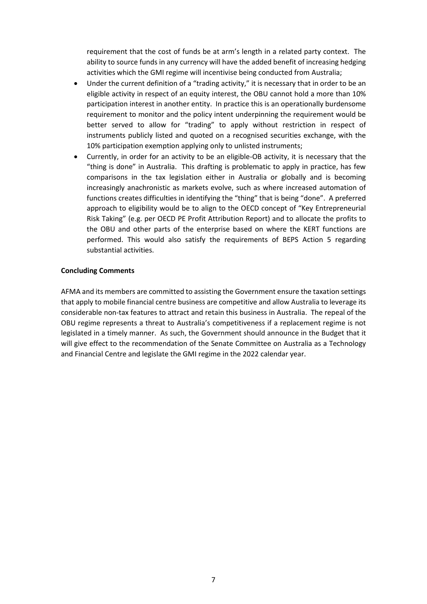requirement that the cost of funds be at arm's length in a related party context. The ability to source funds in any currency will have the added benefit of increasing hedging activities which the GMI regime will incentivise being conducted from Australia;

- Under the current definition of a "trading activity," it is necessary that in order to be an eligible activity in respect of an equity interest, the OBU cannot hold a more than 10% participation interest in another entity. In practice this is an operationally burdensome requirement to monitor and the policy intent underpinning the requirement would be better served to allow for "trading" to apply without restriction in respect of instruments publicly listed and quoted on a recognised securities exchange, with the 10% participation exemption applying only to unlisted instruments;
- Currently, in order for an activity to be an eligible-OB activity, it is necessary that the "thing is done" in Australia. This drafting is problematic to apply in practice, has few comparisons in the tax legislation either in Australia or globally and is becoming increasingly anachronistic as markets evolve, such as where increased automation of functions creates difficulties in identifying the "thing" that is being "done". A preferred approach to eligibility would be to align to the OECD concept of "Key Entrepreneurial Risk Taking" (e.g. per OECD PE Profit Attribution Report) and to allocate the profits to the OBU and other parts of the enterprise based on where the KERT functions are performed. This would also satisfy the requirements of BEPS Action 5 regarding substantial activities.

#### **Concluding Comments**

AFMA and its members are committed to assisting the Government ensure the taxation settings that apply to mobile financial centre business are competitive and allow Australia to leverage its considerable non-tax features to attract and retain this business in Australia. The repeal of the OBU regime represents a threat to Australia's competitiveness if a replacement regime is not legislated in a timely manner. As such, the Government should announce in the Budget that it will give effect to the recommendation of the Senate Committee on Australia as a Technology and Financial Centre and legislate the GMI regime in the 2022 calendar year.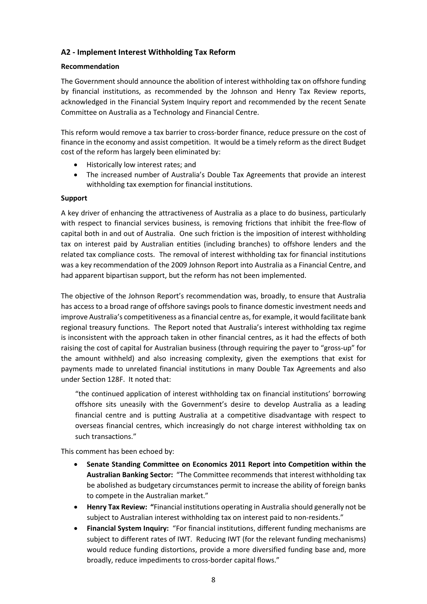# **A2 - Implement Interest Withholding Tax Reform**

## **Recommendation**

The Government should announce the abolition of interest withholding tax on offshore funding by financial institutions, as recommended by the Johnson and Henry Tax Review reports, acknowledged in the Financial System Inquiry report and recommended by the recent Senate Committee on Australia as a Technology and Financial Centre.

This reform would remove a tax barrier to cross-border finance, reduce pressure on the cost of finance in the economy and assist competition. It would be a timely reform as the direct Budget cost of the reform has largely been eliminated by:

- Historically low interest rates; and
- The increased number of Australia's Double Tax Agreements that provide an interest withholding tax exemption for financial institutions.

#### **Support**

A key driver of enhancing the attractiveness of Australia as a place to do business, particularly with respect to financial services business, is removing frictions that inhibit the free-flow of capital both in and out of Australia. One such friction is the imposition of interest withholding tax on interest paid by Australian entities (including branches) to offshore lenders and the related tax compliance costs. The removal of interest withholding tax for financial institutions was a key recommendation of the 2009 Johnson Report into Australia as a Financial Centre, and had apparent bipartisan support, but the reform has not been implemented.

The objective of the Johnson Report's recommendation was, broadly, to ensure that Australia has access to a broad range of offshore savings pools to finance domestic investment needs and improve Australia's competitiveness as a financial centre as, for example, it would facilitate bank regional treasury functions. The Report noted that Australia's interest withholding tax regime is inconsistent with the approach taken in other financial centres, as it had the effects of both raising the cost of capital for Australian business (through requiring the payer to "gross-up" for the amount withheld) and also increasing complexity, given the exemptions that exist for payments made to unrelated financial institutions in many Double Tax Agreements and also under Section 128F. It noted that:

"the continued application of interest withholding tax on financial institutions' borrowing offshore sits uneasily with the Government's desire to develop Australia as a leading financial centre and is putting Australia at a competitive disadvantage with respect to overseas financial centres, which increasingly do not charge interest withholding tax on such transactions."

This comment has been echoed by:

- **Senate Standing Committee on Economics 2011 Report into Competition within the Australian Banking Sector:** "The Committee recommends that interest withholding tax be abolished as budgetary circumstances permit to increase the ability of foreign banks to compete in the Australian market."
- **Henry Tax Review: "**Financial institutions operating in Australia should generally not be subject to Australian interest withholding tax on interest paid to non-residents."
- **Financial System Inquiry:** "For financial institutions, different funding mechanisms are subject to different rates of IWT. Reducing IWT (for the relevant funding mechanisms) would reduce funding distortions, provide a more diversified funding base and, more broadly, reduce impediments to cross-border capital flows."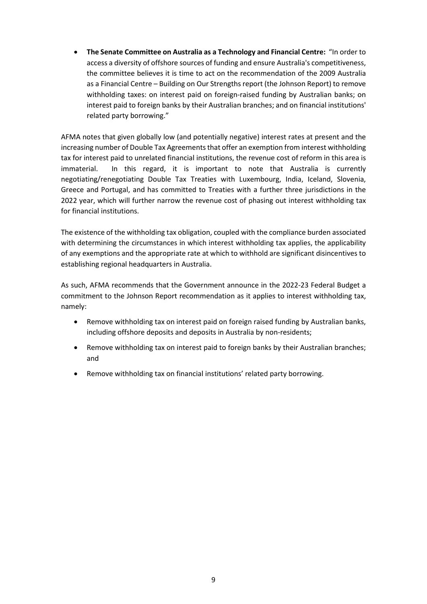• **The Senate Committee on Australia as a Technology and Financial Centre:** "In order to access a diversity of offshore sources of funding and ensure Australia's competitiveness, the committee believes it is time to act on the recommendation of the 2009 Australia as a Financial Centre – Building on Our Strengths report (the Johnson Report) to remove withholding taxes: on interest paid on foreign-raised funding by Australian banks; on interest paid to foreign banks by their Australian branches; and on financial institutions' related party borrowing."

AFMA notes that given globally low (and potentially negative) interest rates at present and the increasing number of Double Tax Agreements that offer an exemption from interest withholding tax for interest paid to unrelated financial institutions, the revenue cost of reform in this area is immaterial. In this regard, it is important to note that Australia is currently negotiating/renegotiating Double Tax Treaties with Luxembourg, India, Iceland, Slovenia, Greece and Portugal, and has committed to Treaties with a further three jurisdictions in the 2022 year, which will further narrow the revenue cost of phasing out interest withholding tax for financial institutions.

The existence of the withholding tax obligation, coupled with the compliance burden associated with determining the circumstances in which interest withholding tax applies, the applicability of any exemptions and the appropriate rate at which to withhold are significant disincentives to establishing regional headquarters in Australia.

As such, AFMA recommends that the Government announce in the 2022-23 Federal Budget a commitment to the Johnson Report recommendation as it applies to interest withholding tax, namely:

- Remove withholding tax on interest paid on foreign raised funding by Australian banks, including offshore deposits and deposits in Australia by non-residents;
- Remove withholding tax on interest paid to foreign banks by their Australian branches; and
- Remove withholding tax on financial institutions' related party borrowing.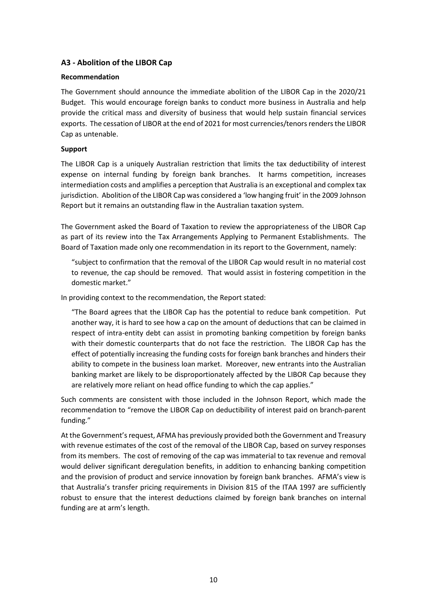# **A3 - Abolition of the LIBOR Cap**

#### **Recommendation**

The Government should announce the immediate abolition of the LIBOR Cap in the 2020/21 Budget. This would encourage foreign banks to conduct more business in Australia and help provide the critical mass and diversity of business that would help sustain financial services exports. The cessation of LIBOR at the end of 2021 for most currencies/tenors renders the LIBOR Cap as untenable.

## **Support**

The LIBOR Cap is a uniquely Australian restriction that limits the tax deductibility of interest expense on internal funding by foreign bank branches. It harms competition, increases intermediation costs and amplifies a perception that Australia is an exceptional and complex tax jurisdiction. Abolition of the LIBOR Cap was considered a 'low hanging fruit' in the 2009 Johnson Report but it remains an outstanding flaw in the Australian taxation system.

The Government asked the Board of Taxation to review the appropriateness of the LIBOR Cap as part of its review into the Tax Arrangements Applying to Permanent Establishments. The Board of Taxation made only one recommendation in its report to the Government, namely:

"subject to confirmation that the removal of the LIBOR Cap would result in no material cost to revenue, the cap should be removed. That would assist in fostering competition in the domestic market."

In providing context to the recommendation, the Report stated:

"The Board agrees that the LIBOR Cap has the potential to reduce bank competition. Put another way, it is hard to see how a cap on the amount of deductions that can be claimed in respect of intra-entity debt can assist in promoting banking competition by foreign banks with their domestic counterparts that do not face the restriction. The LIBOR Cap has the effect of potentially increasing the funding costs for foreign bank branches and hinders their ability to compete in the business loan market. Moreover, new entrants into the Australian banking market are likely to be disproportionately affected by the LIBOR Cap because they are relatively more reliant on head office funding to which the cap applies."

Such comments are consistent with those included in the Johnson Report, which made the recommendation to "remove the LIBOR Cap on deductibility of interest paid on branch-parent funding."

At the Government's request, AFMA has previously provided both the Government and Treasury with revenue estimates of the cost of the removal of the LIBOR Cap, based on survey responses from its members. The cost of removing of the cap was immaterial to tax revenue and removal would deliver significant deregulation benefits, in addition to enhancing banking competition and the provision of product and service innovation by foreign bank branches. AFMA's view is that Australia's transfer pricing requirements in Division 815 of the ITAA 1997 are sufficiently robust to ensure that the interest deductions claimed by foreign bank branches on internal funding are at arm's length.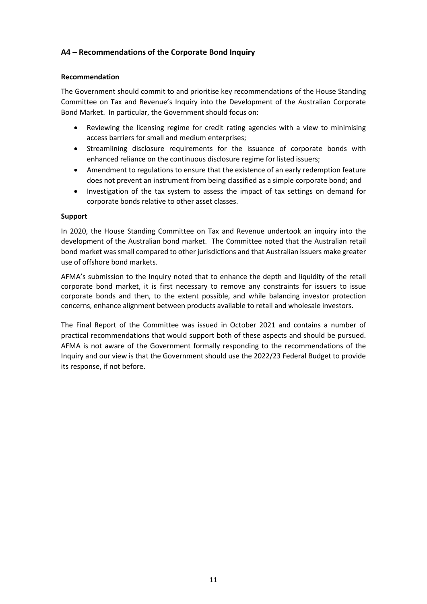# **A4 – Recommendations of the Corporate Bond Inquiry**

#### **Recommendation**

The Government should commit to and prioritise key recommendations of the House Standing Committee on Tax and Revenue's Inquiry into the Development of the Australian Corporate Bond Market. In particular, the Government should focus on:

- Reviewing the licensing regime for credit rating agencies with a view to minimising access barriers for small and medium enterprises;
- Streamlining disclosure requirements for the issuance of corporate bonds with enhanced reliance on the continuous disclosure regime for listed issuers;
- Amendment to regulations to ensure that the existence of an early redemption feature does not prevent an instrument from being classified as a simple corporate bond; and
- Investigation of the tax system to assess the impact of tax settings on demand for corporate bonds relative to other asset classes.

#### **Support**

In 2020, the House Standing Committee on Tax and Revenue undertook an inquiry into the development of the Australian bond market. The Committee noted that the Australian retail bond market was small compared to other jurisdictions and that Australian issuers make greater use of offshore bond markets.

AFMA's submission to the Inquiry noted that to enhance the depth and liquidity of the retail corporate bond market, it is first necessary to remove any constraints for issuers to issue corporate bonds and then, to the extent possible, and while balancing investor protection concerns, enhance alignment between products available to retail and wholesale investors.

The Final Report of the Committee was issued in October 2021 and contains a number of practical recommendations that would support both of these aspects and should be pursued. AFMA is not aware of the Government formally responding to the recommendations of the Inquiry and our view is that the Government should use the 2022/23 Federal Budget to provide its response, if not before.